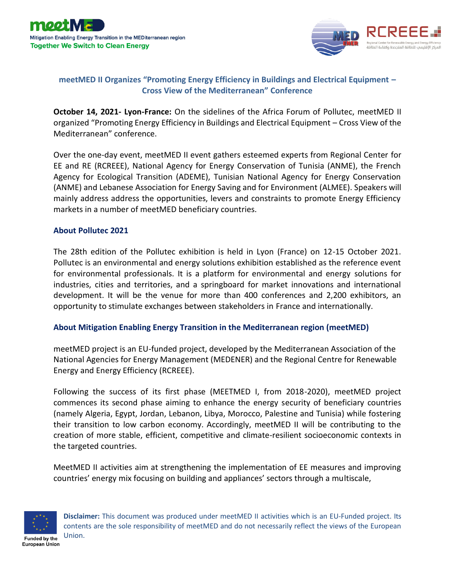



## **meetMED II Organizes "Promoting Energy Efficiency in Buildings and Electrical Equipment – Cross View of the Mediterranean" Conference**

**October 14, 2021- Lyon-France:** On the sidelines of the Africa Forum of Pollutec, meetMED II organized "Promoting Energy Efficiency in Buildings and Electrical Equipment – Cross View of the Mediterranean" conference.

Over the one-day event, meetMED II event gathers esteemed experts from Regional Center for EE and RE (RCREEE), National Agency for Energy Conservation of Tunisia (ANME), the French Agency for Ecological Transition (ADEME), Tunisian National Agency for Energy Conservation (ANME) and Lebanese Association for Energy Saving and for Environment (ALMEE). Speakers will mainly address address the opportunities, levers and constraints to promote Energy Efficiency markets in a number of meetMED beneficiary countries.

## **[About Pollutec 2021](https://www.pollutec.com/en-gb.html)**

The 28th edition of the Pollutec exhibition is held in Lyon (France) on 12-15 October 2021. Pollutec is an environmental and energy solutions exhibition established as the reference event for environmental professionals. It is a platform for environmental and energy solutions for industries, cities and territories, and a springboard for market innovations and international development. It will be the venue for more than 400 conferences and 2,200 exhibitors, an opportunity to stimulate exchanges between stakeholders in France and internationally.

## **[About Mitigation Enabling Energy Transition in the Mediterranean region \(meetMED\)](https://meetmed.org/)**

meetMED project is an EU-funded project, developed by the Mediterranean Association of the National Agencies for Energy Management (MEDENER) and the Regional Centre for Renewable Energy and Energy Efficiency (RCREEE).

Following the success of its first phase (MEETMED I, from 2018-2020), meetMED project commences its second phase aiming to enhance the energy security of beneficiary countries (namely Algeria, Egypt, Jordan, Lebanon, Libya, Morocco, Palestine and Tunisia) while fostering their transition to low carbon economy. Accordingly, meetMED II will be contributing to the creation of more stable, efficient, competitive and climate-resilient socioeconomic contexts in the targeted countries.

MeetMED II activities aim at strengthening the implementation of EE measures and improving countries' energy mix focusing on building and appliances' sectors through a multiscale,



**Disclaimer:** This document was produced under meetMED II activities which is an EU-Funded project. Its contents are the sole responsibility of meetMED and do not necessarily reflect the views of the European Union.

Funded by the **European Union**